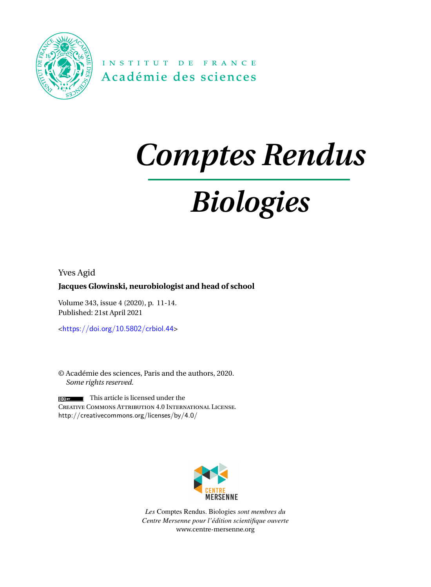

INSTITUT DE FRANCE Académie des sciences

# *Comptes Rendus*

# *Biologies*

Yves Agid

### **Jacques Glowinski, neurobiologist and head of school**

Volume 343, issue 4 (2020), p. 11-14. Published: 21st April 2021

<<https://doi.org/10.5802/crbiol.44>>

© Académie des sciences, Paris and the authors, 2020. *Some rights reserved.*

This article is licensed under the Creative Commons Attribution 4.0 International License. <http://creativecommons.org/licenses/by/4.0/>



*Les* Comptes Rendus. Biologies *sont membres du Centre Mersenne pour l'édition scientifique ouverte* [www.centre-mersenne.org](https://www.centre-mersenne.org)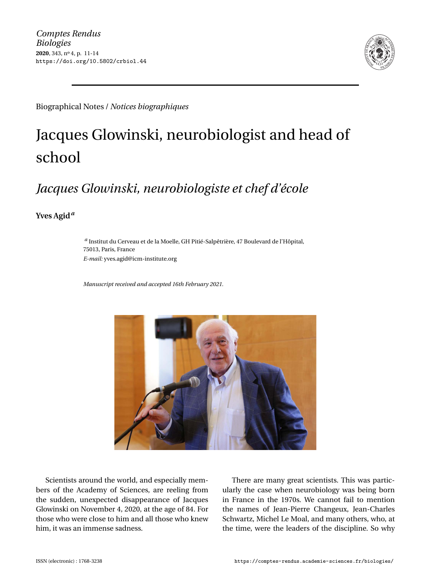

Biographical Notes / *Notices biographiques*

## Jacques Glowinski, neurobiologist and head of school

### *Jacques Glowinski, neurobiologiste et chef d'école*

**Yves Agid***<sup>a</sup>*

*a* Institut du Cerveau et de la Moelle, GH Pitié-Salpêtrière, 47 Boulevard de l'Hôpital, 75013, Paris, France *E-mail:* [yves.agid@icm-institute.org](mailto:yves.agid@icm-institute.org)

*Manuscript received and accepted 16th February 2021.*



Scientists around the world, and especially members of the Academy of Sciences, are reeling from the sudden, unexpected disappearance of Jacques Glowinski on November 4, 2020, at the age of 84. For those who were close to him and all those who knew him, it was an immense sadness.

There are many great scientists. This was particularly the case when neurobiology was being born in France in the 1970s. We cannot fail to mention the names of Jean-Pierre Changeux, Jean-Charles Schwartz, Michel Le Moal, and many others, who, at the time, were the leaders of the discipline. So why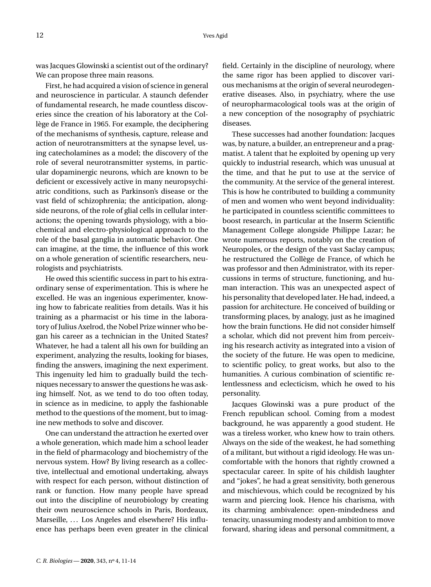was Jacques Glowinski a scientist out of the ordinary? We can propose three main reasons.

First, he had acquired a vision of science in general and neuroscience in particular. A staunch defender of fundamental research, he made countless discoveries since the creation of his laboratory at the Collège de France in 1965. For example, the deciphering of the mechanisms of synthesis, capture, release and action of neurotransmitters at the synapse level, using catecholamines as a model; the discovery of the role of several neurotransmitter systems, in particular dopaminergic neurons, which are known to be deficient or excessively active in many neuropsychiatric conditions, such as Parkinson's disease or the vast field of schizophrenia; the anticipation, alongside neurons, of the role of glial cells in cellular interactions; the opening towards physiology, with a biochemical and electro-physiological approach to the role of the basal ganglia in automatic behavior. One can imagine, at the time, the influence of this work on a whole generation of scientific researchers, neurologists and psychiatrists.

He owed this scientific success in part to his extraordinary sense of experimentation. This is where he excelled. He was an ingenious experimenter, knowing how to fabricate realities from details. Was it his training as a pharmacist or his time in the laboratory of Julius Axelrod, the Nobel Prize winner who began his career as a technician in the United States? Whatever, he had a talent all his own for building an experiment, analyzing the results, looking for biases, finding the answers, imagining the next experiment. This ingenuity led him to gradually build the techniques necessary to answer the questions he was asking himself. Not, as we tend to do too often today, in science as in medicine, to apply the fashionable method to the questions of the moment, but to imagine new methods to solve and discover.

One can understand the attraction he exerted over a whole generation, which made him a school leader in the field of pharmacology and biochemistry of the nervous system. How? By living research as a collective, intellectual and emotional undertaking, always with respect for each person, without distinction of rank or function. How many people have spread out into the discipline of neurobiology by creating their own neuroscience schools in Paris, Bordeaux, Marseille, ... Los Angeles and elsewhere? His influence has perhaps been even greater in the clinical field. Certainly in the discipline of neurology, where the same rigor has been applied to discover various mechanisms at the origin of several neurodegenerative diseases. Also, in psychiatry, where the use of neuropharmacological tools was at the origin of a new conception of the nosography of psychiatric diseases.

These successes had another foundation: Jacques was, by nature, a builder, an entrepreneur and a pragmatist. A talent that he exploited by opening up very quickly to industrial research, which was unusual at the time, and that he put to use at the service of the community. At the service of the general interest. This is how he contributed to building a community of men and women who went beyond individuality: he participated in countless scientific committees to boost research, in particular at the Inserm Scientific Management College alongside Philippe Lazar; he wrote numerous reports, notably on the creation of Neuropoles, or the design of the vast Saclay campus; he restructured the Collège de France, of which he was professor and then Administrator, with its repercussions in terms of structure, functioning, and human interaction. This was an unexpected aspect of his personality that developed later. He had, indeed, a passion for architecture. He conceived of building or transforming places, by analogy, just as he imagined how the brain functions. He did not consider himself a scholar, which did not prevent him from perceiving his research activity as integrated into a vision of the society of the future. He was open to medicine, to scientific policy, to great works, but also to the humanities. A curious combination of scientific relentlessness and eclecticism, which he owed to his personality.

Jacques Glowinski was a pure product of the French republican school. Coming from a modest background, he was apparently a good student. He was a tireless worker, who knew how to train others. Always on the side of the weakest, he had something of a militant, but without a rigid ideology. He was uncomfortable with the honors that rightly crowned a spectacular career. In spite of his childish laughter and "jokes", he had a great sensitivity, both generous and mischievous, which could be recognized by his warm and piercing look. Hence his charisma, with its charming ambivalence: open-mindedness and tenacity, unassuming modesty and ambition to move forward, sharing ideas and personal commitment, a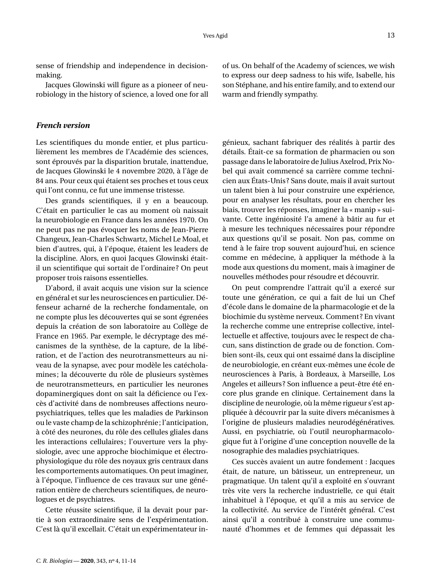sense of friendship and independence in decisionmaking.

Jacques Glowinski will figure as a pioneer of neurobiology in the history of science, a loved one for all

### *French version*

Les scientifiques du monde entier, et plus particulièrement les membres de l'Académie des sciences, sont éprouvés par la disparition brutale, inattendue, de Jacques Glowinski le 4 novembre 2020, à l'âge de 84 ans. Pour ceux qui étaient ses proches et tous ceux qui l'ont connu, ce fut une immense tristesse.

Des grands scientifiques, il y en a beaucoup. C'était en particulier le cas au moment où naissait la neurobiologie en France dans les années 1970. On ne peut pas ne pas évoquer les noms de Jean-Pierre Changeux, Jean-Charles Schwartz, Michel Le Moal, et bien d'autres, qui, à l'époque, étaient les leaders de la discipline. Alors, en quoi Jacques Glowinski étaitil un scientifique qui sortait de l'ordinaire ? On peut proposer trois raisons essentielles.

D'abord, il avait acquis une vision sur la science en général et sur les neurosciences en particulier. Défenseur acharné de la recherche fondamentale, on ne compte plus les découvertes qui se sont égrenées depuis la création de son laboratoire au Collège de France en 1965. Par exemple, le décryptage des mécanismes de la synthèse, de la capture, de la libération, et de l'action des neurotransmetteurs au niveau de la synapse, avec pour modèle les catécholamines; la découverte du rôle de plusieurs systèmes de neurotransmetteurs, en particulier les neurones dopaminergiques dont on sait la déficience ou l'excès d'activité dans de nombreuses affections neuropsychiatriques, telles que les maladies de Parkinson ou le vaste champ de la schizophrénie; l'anticipation, à côté des neurones, du rôle des cellules gliales dans les interactions cellulaires; l'ouverture vers la physiologie, avec une approche biochimique et électrophysiologique du rôle des noyaux gris centraux dans les comportements automatiques. On peut imaginer, à l'époque, l'influence de ces travaux sur une génération entière de chercheurs scientifiques, de neurologues et de psychiatres.

Cette réussite scientifique, il la devait pour partie à son extraordinaire sens de l'expérimentation. C'est là qu'il excellait. C'était un expérimentateur inof us. On behalf of the Academy of sciences, we wish to express our deep sadness to his wife, Isabelle, his son Stéphane, and his entire family, and to extend our warm and friendly sympathy.

génieux, sachant fabriquer des réalités à partir des détails. Était-ce sa formation de pharmacien ou son passage dans le laboratoire de Julius Axelrod, Prix Nobel qui avait commencé sa carrière comme technicien aux États-Unis ? Sans doute, mais il avait surtout un talent bien à lui pour construire une expérience, pour en analyser les résultats, pour en chercher les biais, trouver les réponses, imaginer la « manip » suivante. Cette ingéniosité l'a amené à bâtir au fur et à mesure les techniques nécessaires pour répondre aux questions qu'il se posait. Non pas, comme on tend à le faire trop souvent aujourd'hui, en science comme en médecine, à appliquer la méthode à la mode aux questions du moment, mais à imaginer de nouvelles méthodes pour résoudre et découvrir.

On peut comprendre l'attrait qu'il a exercé sur toute une génération, ce qui a fait de lui un Chef d'école dans le domaine de la pharmacologie et de la biochimie du système nerveux. Comment ? En vivant la recherche comme une entreprise collective, intellectuelle et affective, toujours avec le respect de chacun, sans distinction de grade ou de fonction. Combien sont-ils, ceux qui ont essaimé dans la discipline de neurobiologie, en créant eux-mêmes une école de neurosciences à Paris, à Bordeaux, à Marseille, Los Angeles et ailleurs ? Son influence a peut-être été encore plus grande en clinique. Certainement dans la discipline de neurologie, où la même rigueur s'est appliquée à découvrir par la suite divers mécanismes à l'origine de plusieurs maladies neurodégénératives. Aussi, en psychiatrie, où l'outil neuropharmacologique fut à l'origine d'une conception nouvelle de la nosographie des maladies psychiatriques.

Ces succès avaient un autre fondement : Jacques était, de nature, un bâtisseur, un entrepreneur, un pragmatique. Un talent qu'il a exploité en s'ouvrant très vite vers la recherche industrielle, ce qui était inhabituel à l'époque, et qu'il a mis au service de la collectivité. Au service de l'intérêt général. C'est ainsi qu'il a contribué à construire une communauté d'hommes et de femmes qui dépassait les